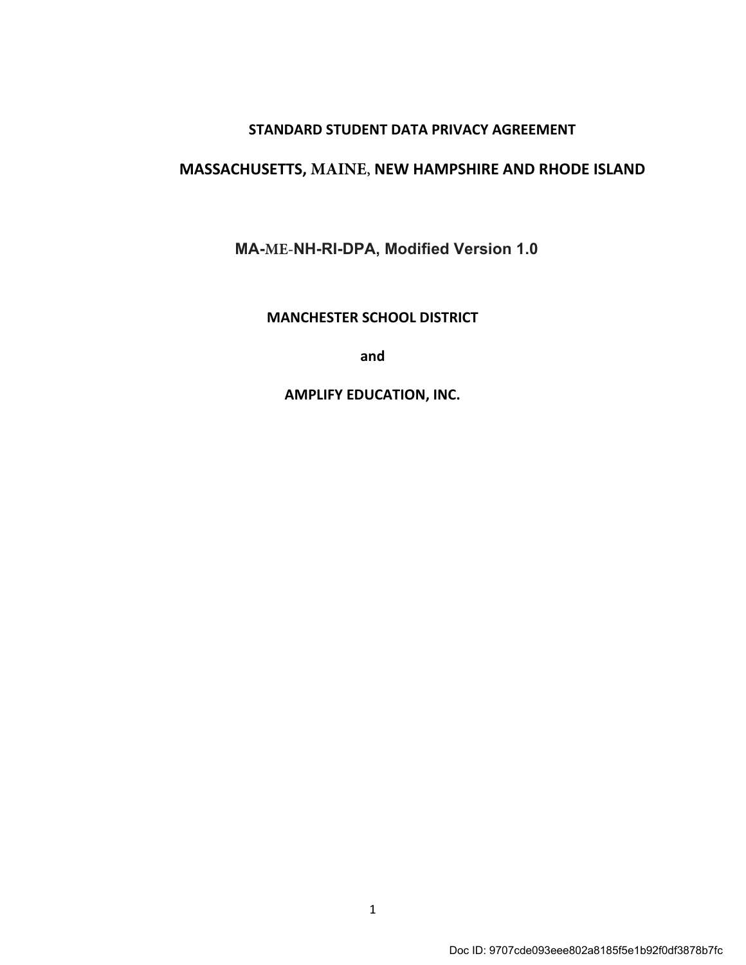## STANDARD STUDENT DATA PRIVACY AGREEMENT

# MASSACHUSETTS, **MAINE**, NEW HAMPSHIRE AND RHODE ISLAND

MA-**ME-**NH-RI-DPA, Modified Version 1.0

MANCHESTER SCHOOL DISTRICT

and

AMPLIFY EDUCATION, INC.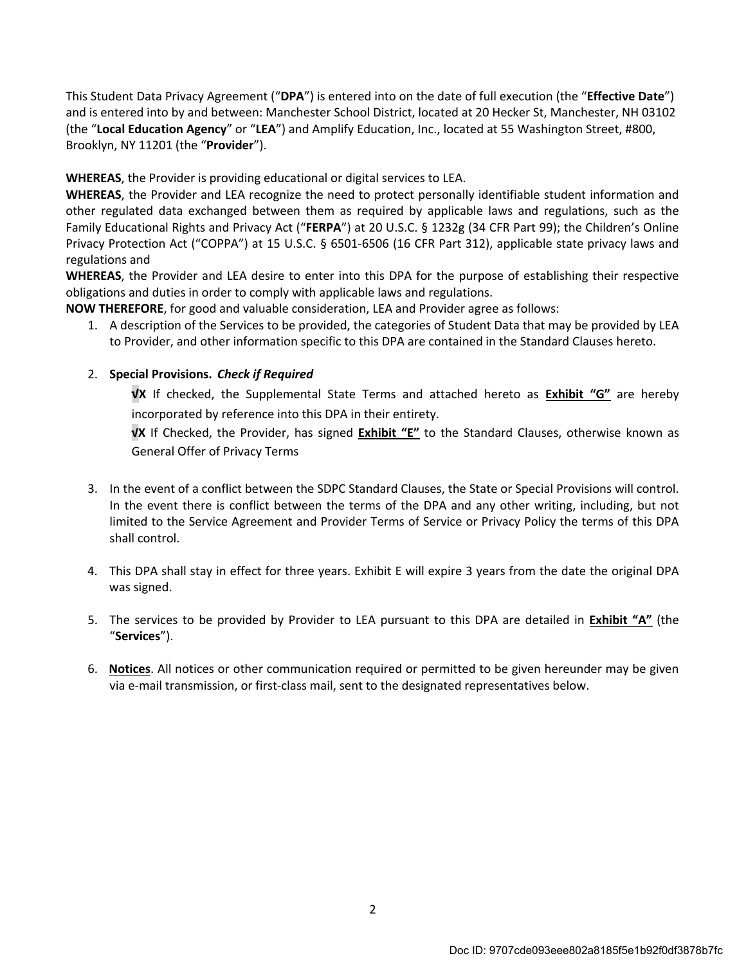This Student Data Privacy Agreement ("DPA") is entered into on the date of full execution (the "Effective Date") and is entered into by and between: Manchester School District, located at 20 Hecker St, Manchester, NH 03102 (the "Local Education Agency" or "LEA") and Amplify Education, Inc., located at 55 Washington Street, #800, Brooklyn, NY 11201 (the "Provider").

WHEREAS, the Provider is providing educational or digital services to LEA.

WHEREAS, the Provider and LEA recognize the need to protect personally identifiable student information and other regulated data exchanged between them as required by applicable laws and regulations, such as the Family Educational Rights and Privacy Act ("FERPA") at 20 U.S.C. § 1232g (34 CFR Part 99); the Children's Online Privacy Protection Act ("COPPA") at 15 U.S.C. § 6501-6506 (16 CFR Part 312), applicable state privacy laws and regulations and

WHEREAS, the Provider and LEA desire to enter into this DPA for the purpose of establishing their respective obligations and duties in order to comply with applicable laws and regulations.

NOW THEREFORE, for good and valuable consideration, LEA and Provider agree as follows:

1. A description of the Services to be provided, the categories of Student Data that may be provided by LEA to Provider, and other information specific to this DPA are contained in the Standard Clauses hereto.

#### 2. Special Provisions. Check if Required

√X If checked, the Supplemental State Terms and attached hereto as **Exhibit "G"** are hereby incorporated by reference into this DPA in their entirety.

√X If Checked, the Provider, has signed Exhibit "E" to the Standard Clauses, otherwise known as General Offer of Privacy Terms

- 3. In the event of a conflict between the SDPC Standard Clauses, the State or Special Provisions will control. In the event there is conflict between the terms of the DPA and any other writing, including, but not limited to the Service Agreement and Provider Terms of Service or Privacy Policy the terms of this DPA shall control.
- 4. This DPA shall stay in effect for three years. Exhibit E will expire 3 years from the date the original DPA was signed.
- 5. The services to be provided by Provider to LEA pursuant to this DPA are detailed in Exhibit "A" (the "Services").
- 6. Notices. All notices or other communication required or permitted to be given hereunder may be given via e-mail transmission, or first-class mail, sent to the designated representatives below.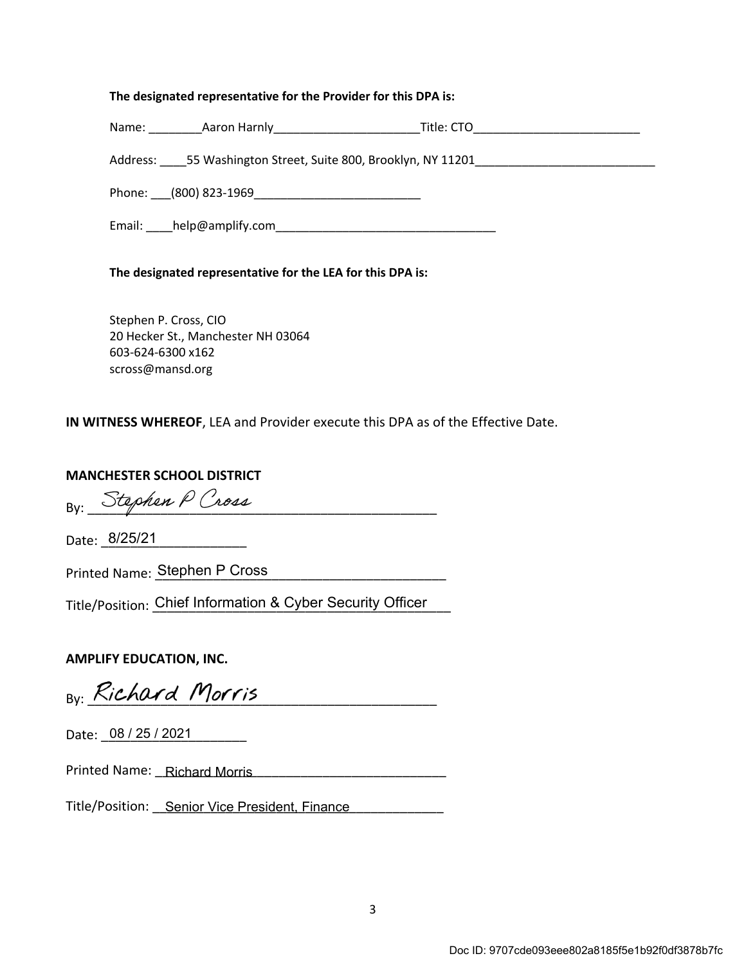#### The designated representative for the Provider for this DPA is:

| Name: | Aaron Harniy | ۲itle۰ |  |
|-------|--------------|--------|--|
|       |              |        |  |

Address: \_\_\_\_55 Washington Street, Suite 800, Brooklyn, NY 11201\_\_\_\_\_\_\_\_\_\_\_\_\_\_\_\_\_\_\_\_\_\_\_\_\_\_\_

Phone: \_\_\_(800) 823-1969\_\_\_\_\_\_\_\_\_\_\_\_\_\_\_\_\_\_\_\_\_\_\_\_\_

Email: \_\_\_\_help@amplify.com\_\_\_\_\_\_\_\_\_\_\_\_\_\_\_\_\_\_\_\_\_\_\_\_\_\_\_\_\_\_\_\_\_

#### The designated representative for the LEA for this DPA is:

Stephen P. Cross, CIO 20 Hecker St., Manchester NH 03064 603-624-6300 x162 scross@mansd.org

IN WITNESS WHEREOF, LEA and Provider execute this DPA as of the Effective Date.

#### MANCHESTER SCHOOL DISTRICT

By: Stephen P Cross

Date: 8/25/21

Printed Name: Stephen P Cross

Title/Position: Chief Information & Cyber Security Officer

#### AMPLIFY EDUCATION, INC.

By: Richard Morris

Date: 08 / 25 / 2021

Printed Name: \_\_\_\_\_\_\_\_\_\_\_\_\_\_\_\_\_\_\_\_\_\_\_\_\_\_\_\_\_\_\_\_\_\_\_\_\_\_\_\_ Richard Morris

Title/Position: Senior Vice President, Finance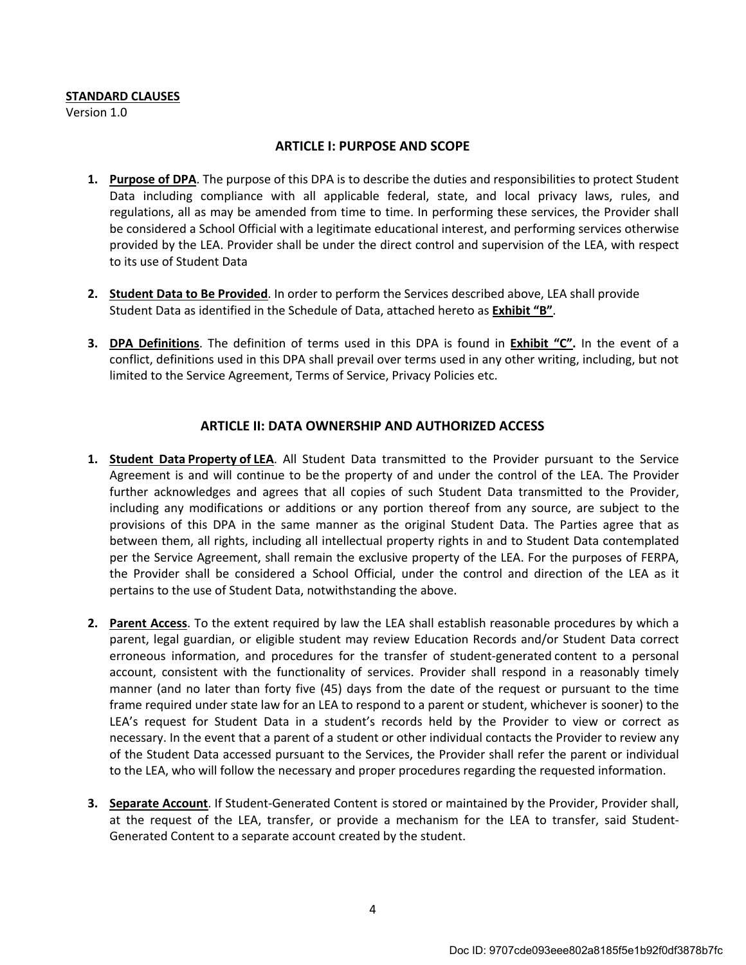#### STANDARD CLAUSES

Version 1.0

#### ARTICLE I: PURPOSE AND SCOPE

- 1. Purpose of DPA. The purpose of this DPA is to describe the duties and responsibilities to protect Student Data including compliance with all applicable federal, state, and local privacy laws, rules, and regulations, all as may be amended from time to time. In performing these services, the Provider shall be considered a School Official with a legitimate educational interest, and performing services otherwise provided by the LEA. Provider shall be under the direct control and supervision of the LEA, with respect to its use of Student Data
- 2. Student Data to Be Provided. In order to perform the Services described above, LEA shall provide Student Data as identified in the Schedule of Data, attached hereto as Exhibit "B".
- 3. DPA Definitions. The definition of terms used in this DPA is found in Exhibit "C". In the event of a conflict, definitions used in this DPA shall prevail over terms used in any other writing, including, but not limited to the Service Agreement, Terms of Service, Privacy Policies etc.

## ARTICLE II: DATA OWNERSHIP AND AUTHORIZED ACCESS

- 1. Student Data Property of LEA. All Student Data transmitted to the Provider pursuant to the Service Agreement is and will continue to be the property of and under the control of the LEA. The Provider further acknowledges and agrees that all copies of such Student Data transmitted to the Provider, including any modifications or additions or any portion thereof from any source, are subject to the provisions of this DPA in the same manner as the original Student Data. The Parties agree that as between them, all rights, including all intellectual property rights in and to Student Data contemplated per the Service Agreement, shall remain the exclusive property of the LEA. For the purposes of FERPA, the Provider shall be considered a School Official, under the control and direction of the LEA as it pertains to the use of Student Data, notwithstanding the above.
- 2. Parent Access. To the extent required by law the LEA shall establish reasonable procedures by which a parent, legal guardian, or eligible student may review Education Records and/or Student Data correct erroneous information, and procedures for the transfer of student-generated content to a personal account, consistent with the functionality of services. Provider shall respond in a reasonably timely manner (and no later than forty five (45) days from the date of the request or pursuant to the time frame required under state law for an LEA to respond to a parent or student, whichever is sooner) to the LEA's request for Student Data in a student's records held by the Provider to view or correct as necessary. In the event that a parent of a student or other individual contacts the Provider to review any of the Student Data accessed pursuant to the Services, the Provider shall refer the parent or individual to the LEA, who will follow the necessary and proper procedures regarding the requested information.
- 3. Separate Account. If Student-Generated Content is stored or maintained by the Provider, Provider shall, at the request of the LEA, transfer, or provide a mechanism for the LEA to transfer, said Student-Generated Content to a separate account created by the student.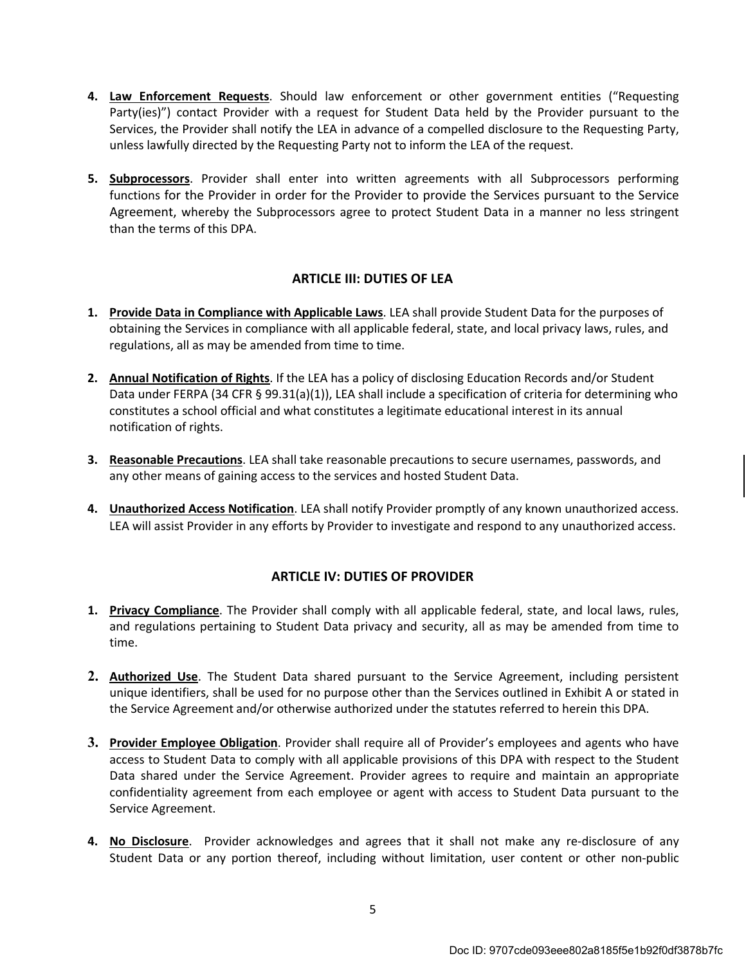- 4. Law Enforcement Requests. Should law enforcement or other government entities ("Requesting Party(ies)") contact Provider with a request for Student Data held by the Provider pursuant to the Services, the Provider shall notify the LEA in advance of a compelled disclosure to the Requesting Party, unless lawfully directed by the Requesting Party not to inform the LEA of the request.
- 5. Subprocessors. Provider shall enter into written agreements with all Subprocessors performing functions for the Provider in order for the Provider to provide the Services pursuant to the Service Agreement, whereby the Subprocessors agree to protect Student Data in a manner no less stringent than the terms of this DPA.

## ARTICLE III: DUTIES OF LEA

- 1. Provide Data in Compliance with Applicable Laws. LEA shall provide Student Data for the purposes of obtaining the Services in compliance with all applicable federal, state, and local privacy laws, rules, and regulations, all as may be amended from time to time.
- 2. Annual Notification of Rights. If the LEA has a policy of disclosing Education Records and/or Student Data under FERPA (34 CFR § 99.31(a)(1)), LEA shall include a specification of criteria for determining who constitutes a school official and what constitutes a legitimate educational interest in its annual notification of rights.
- **3. Reasonable Precautions**. LEA shall take reasonable precautions to secure usernames, passwords, and any other means of gaining access to the services and hosted Student Data.
- 4. Unauthorized Access Notification. LEA shall notify Provider promptly of any known unauthorized access. LEA will assist Provider in any efforts by Provider to investigate and respond to any unauthorized access.

## ARTICLE IV: DUTIES OF PROVIDER

- 1. Privacy Compliance. The Provider shall comply with all applicable federal, state, and local laws, rules, and regulations pertaining to Student Data privacy and security, all as may be amended from time to time.
- 2. Authorized Use. The Student Data shared pursuant to the Service Agreement, including persistent unique identifiers, shall be used for no purpose other than the Services outlined in Exhibit A or stated in the Service Agreement and/or otherwise authorized under the statutes referred to herein this DPA.
- 3. Provider Employee Obligation. Provider shall require all of Provider's employees and agents who have access to Student Data to comply with all applicable provisions of this DPA with respect to the Student Data shared under the Service Agreement. Provider agrees to require and maintain an appropriate confidentiality agreement from each employee or agent with access to Student Data pursuant to the Service Agreement.
- 4. No Disclosure. Provider acknowledges and agrees that it shall not make any re-disclosure of any Student Data or any portion thereof, including without limitation, user content or other non-public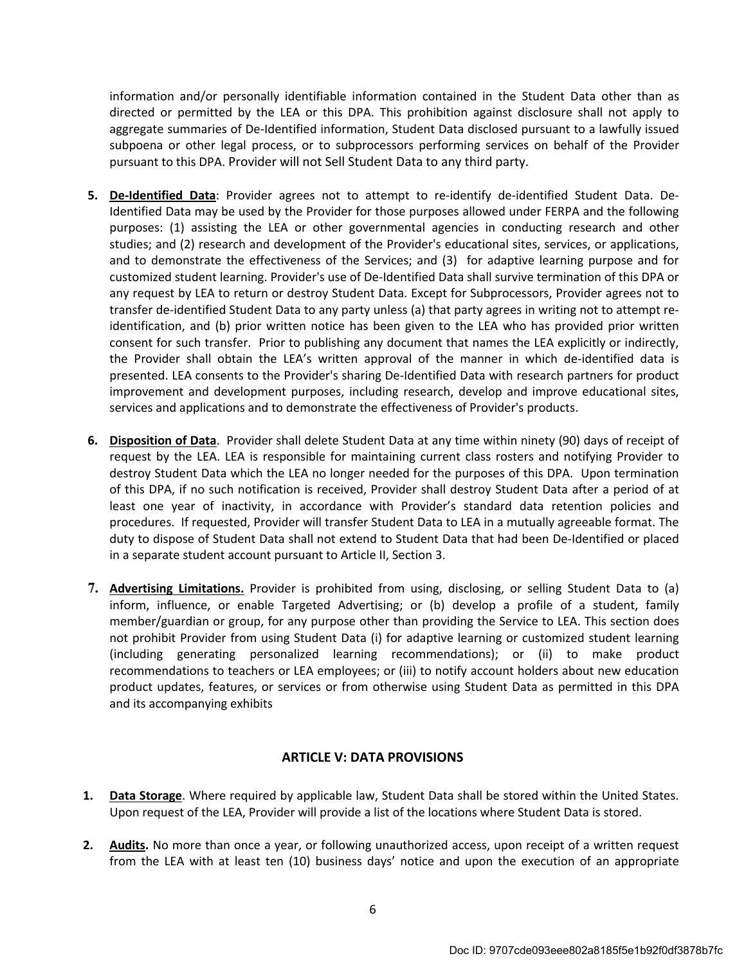information and/or personally identifiable information contained in the Student Data other than as directed or permitted by the LEA or this DPA. This prohibition against disclosure shall not apply to aggregate summaries of De-Identified information, Student Data disclosed pursuant to a lawfully issued subpoena or other legal process, or to subprocessors performing services on behalf of the Provider pursuant to this DPA. Provider will not Sell Student Data to any third party.

- 5. De-Identified Data: Provider agrees not to attempt to re-identify de-identified Student Data. De-Identified Data may be used by the Provider for those purposes allowed under FERPA and the following purposes: (1) assisting the LEA or other governmental agencies in conducting research and other studies; and (2) research and development of the Provider's educational sites, services, or applications, and to demonstrate the effectiveness of the Services; and (3) for adaptive learning purpose and for customized student learning. Provider's use of De-Identified Data shall survive termination of this DPA or any request by LEA to return or destroy Student Data. Except for Subprocessors, Provider agrees not to transfer de-identified Student Data to any party unless (a) that party agrees in writing not to attempt reidentification, and (b) prior written notice has been given to the LEA who has provided prior written consent for such transfer. Prior to publishing any document that names the LEA explicitly or indirectly, the Provider shall obtain the LEA's written approval of the manner in which de-identified data is presented. LEA consents to the Provider's sharing De-Identified Data with research partners for product improvement and development purposes, including research, develop and improve educational sites, services and applications and to demonstrate the effectiveness of Provider's products.
- 6. Disposition of Data. Provider shall delete Student Data at any time within ninety (90) days of receipt of request by the LEA. LEA is responsible for maintaining current class rosters and notifying Provider to destroy Student Data which the LEA no longer needed for the purposes of this DPA. Upon termination of this DPA, if no such notification is received, Provider shall destroy Student Data after a period of at least one year of inactivity, in accordance with Provider's standard data retention policies and procedures. If requested, Provider will transfer Student Data to LEA in a mutually agreeable format. The duty to dispose of Student Data shall not extend to Student Data that had been De-Identified or placed in a separate student account pursuant to Article II, Section 3.
- 7. Advertising Limitations. Provider is prohibited from using, disclosing, or selling Student Data to (a) inform, influence, or enable Targeted Advertising; or (b) develop a profile of a student, family member/guardian or group, for any purpose other than providing the Service to LEA. This section does not prohibit Provider from using Student Data (i) for adaptive learning or customized student learning (including generating personalized learning recommendations); or (ii) to make product recommendations to teachers or LEA employees; or (iii) to notify account holders about new education product updates, features, or services or from otherwise using Student Data as permitted in this DPA and its accompanying exhibits

## ARTICLE V: DATA PROVISIONS

- 1. Data Storage. Where required by applicable law, Student Data shall be stored within the United States. Upon request of the LEA, Provider will provide a list of the locations where Student Data is stored.
- 2. Audits. No more than once a year, or following unauthorized access, upon receipt of a written request from the LEA with at least ten (10) business days' notice and upon the execution of an appropriate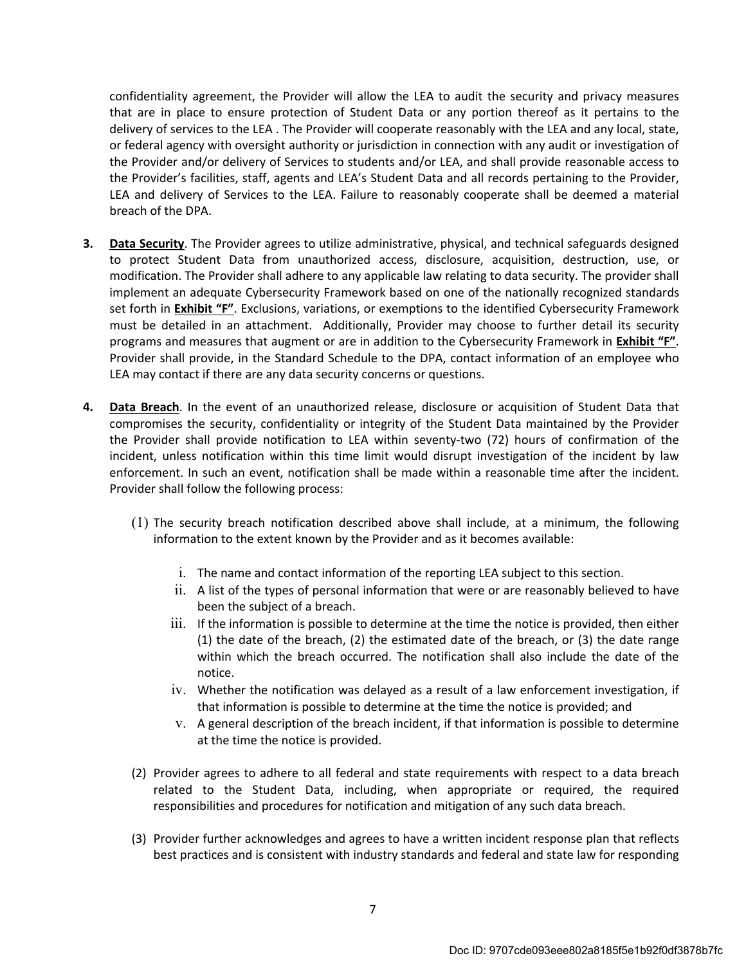confidentiality agreement, the Provider will allow the LEA to audit the security and privacy measures that are in place to ensure protection of Student Data or any portion thereof as it pertains to the delivery of services to the LEA . The Provider will cooperate reasonably with the LEA and any local, state, or federal agency with oversight authority or jurisdiction in connection with any audit or investigation of the Provider and/or delivery of Services to students and/or LEA, and shall provide reasonable access to the Provider's facilities, staff, agents and LEA's Student Data and all records pertaining to the Provider, LEA and delivery of Services to the LEA. Failure to reasonably cooperate shall be deemed a material breach of the DPA.

- 3. Data Security. The Provider agrees to utilize administrative, physical, and technical safeguards designed to protect Student Data from unauthorized access, disclosure, acquisition, destruction, use, or modification. The Provider shall adhere to any applicable law relating to data security. The provider shall implement an adequate Cybersecurity Framework based on one of the nationally recognized standards set forth in Exhibit "F". Exclusions, variations, or exemptions to the identified Cybersecurity Framework must be detailed in an attachment. Additionally, Provider may choose to further detail its security programs and measures that augment or are in addition to the Cybersecurity Framework in *Exhibit* "F". Provider shall provide, in the Standard Schedule to the DPA, contact information of an employee who LEA may contact if there are any data security concerns or questions.
- 4. Data Breach. In the event of an unauthorized release, disclosure or acquisition of Student Data that compromises the security, confidentiality or integrity of the Student Data maintained by the Provider the Provider shall provide notification to LEA within seventy-two (72) hours of confirmation of the incident, unless notification within this time limit would disrupt investigation of the incident by law enforcement. In such an event, notification shall be made within a reasonable time after the incident. Provider shall follow the following process:
	- (1) The security breach notification described above shall include, at a minimum, the following information to the extent known by the Provider and as it becomes available:
		- i. The name and contact information of the reporting LEA subject to this section.
		- ii. A list of the types of personal information that were or are reasonably believed to have been the subject of a breach.
		- iii. If the information is possible to determine at the time the notice is provided, then either (1) the date of the breach, (2) the estimated date of the breach, or (3) the date range within which the breach occurred. The notification shall also include the date of the notice.
		- iv. Whether the notification was delayed as a result of a law enforcement investigation, if that information is possible to determine at the time the notice is provided; and
		- v. A general description of the breach incident, if that information is possible to determine at the time the notice is provided.
	- (2) Provider agrees to adhere to all federal and state requirements with respect to a data breach related to the Student Data, including, when appropriate or required, the required responsibilities and procedures for notification and mitigation of any such data breach.
	- (3) Provider further acknowledges and agrees to have a written incident response plan that reflects best practices and is consistent with industry standards and federal and state law for responding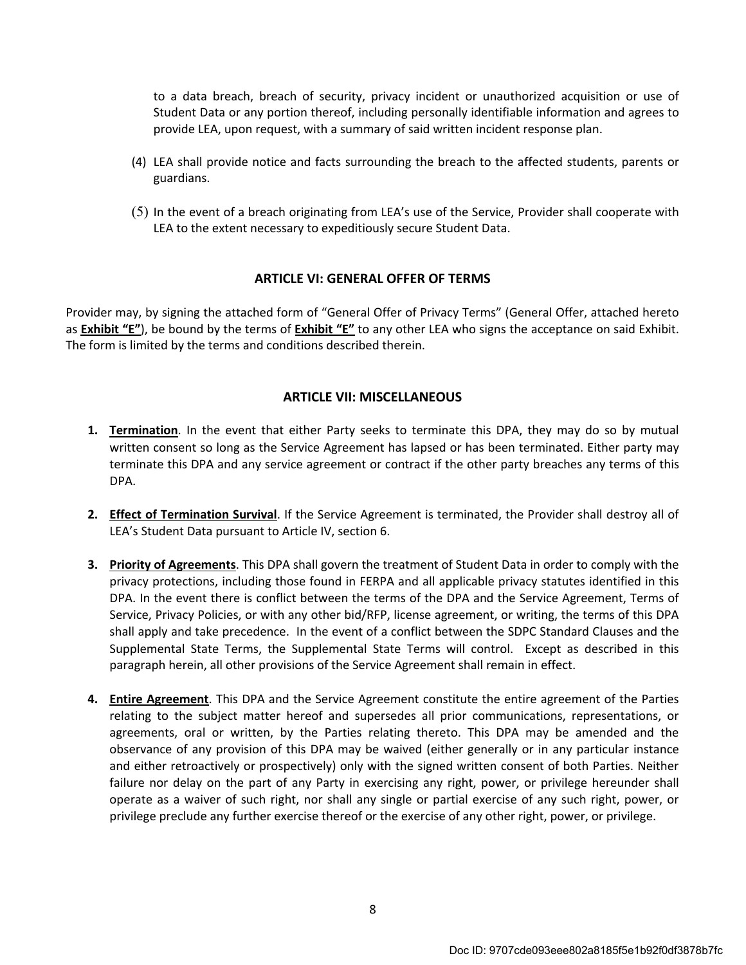to a data breach, breach of security, privacy incident or unauthorized acquisition or use of Student Data or any portion thereof, including personally identifiable information and agrees to provide LEA, upon request, with a summary of said written incident response plan.

- (4) LEA shall provide notice and facts surrounding the breach to the affected students, parents or guardians.
- (5) In the event of a breach originating from LEA's use of the Service, Provider shall cooperate with LEA to the extent necessary to expeditiously secure Student Data.

#### ARTICLE VI: GENERAL OFFER OF TERMS

Provider may, by signing the attached form of "General Offer of Privacy Terms" (General Offer, attached hereto as Exhibit "E"), be bound by the terms of Exhibit "E" to any other LEA who signs the acceptance on said Exhibit. The form is limited by the terms and conditions described therein.

#### ARTICLE VII: MISCELLANEOUS

- **1. Termination**. In the event that either Party seeks to terminate this DPA, they may do so by mutual written consent so long as the Service Agreement has lapsed or has been terminated. Either party may terminate this DPA and any service agreement or contract if the other party breaches any terms of this DPA.
- 2. Effect of Termination Survival. If the Service Agreement is terminated, the Provider shall destroy all of LEA's Student Data pursuant to Article IV, section 6.
- **3. Priority of Agreements**. This DPA shall govern the treatment of Student Data in order to comply with the privacy protections, including those found in FERPA and all applicable privacy statutes identified in this DPA. In the event there is conflict between the terms of the DPA and the Service Agreement, Terms of Service, Privacy Policies, or with any other bid/RFP, license agreement, or writing, the terms of this DPA shall apply and take precedence. In the event of a conflict between the SDPC Standard Clauses and the Supplemental State Terms, the Supplemental State Terms will control. Except as described in this paragraph herein, all other provisions of the Service Agreement shall remain in effect.
- 4. Entire Agreement. This DPA and the Service Agreement constitute the entire agreement of the Parties relating to the subject matter hereof and supersedes all prior communications, representations, or agreements, oral or written, by the Parties relating thereto. This DPA may be amended and the observance of any provision of this DPA may be waived (either generally or in any particular instance and either retroactively or prospectively) only with the signed written consent of both Parties. Neither failure nor delay on the part of any Party in exercising any right, power, or privilege hereunder shall operate as a waiver of such right, nor shall any single or partial exercise of any such right, power, or privilege preclude any further exercise thereof or the exercise of any other right, power, or privilege.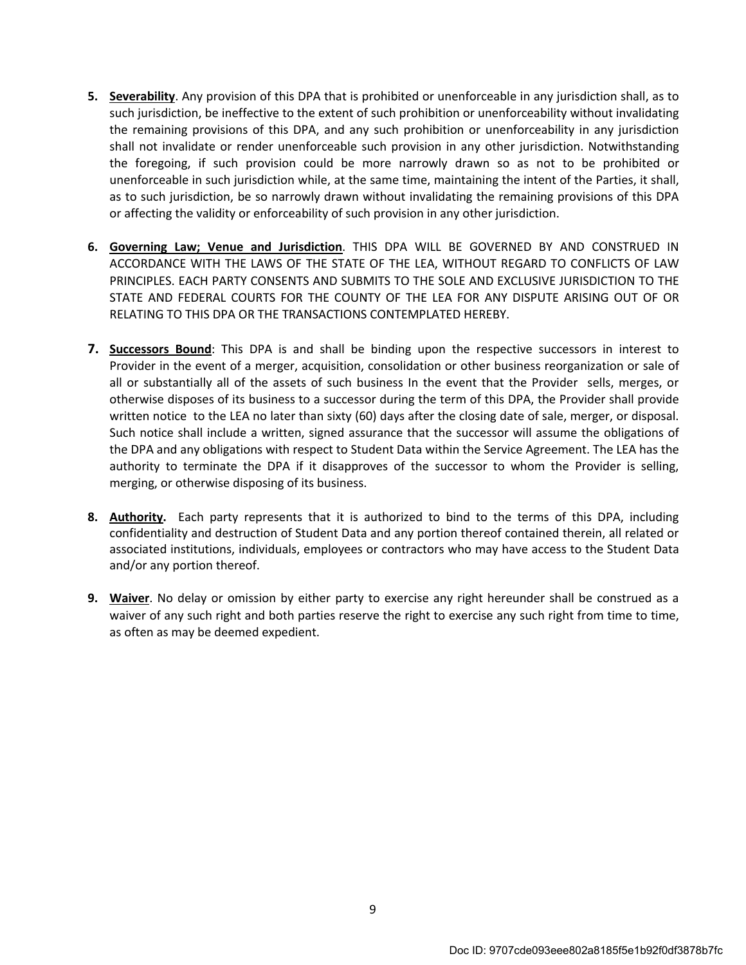- 5. Severability. Any provision of this DPA that is prohibited or unenforceable in any jurisdiction shall, as to such jurisdiction, be ineffective to the extent of such prohibition or unenforceability without invalidating the remaining provisions of this DPA, and any such prohibition or unenforceability in any jurisdiction shall not invalidate or render unenforceable such provision in any other jurisdiction. Notwithstanding the foregoing, if such provision could be more narrowly drawn so as not to be prohibited or unenforceable in such jurisdiction while, at the same time, maintaining the intent of the Parties, it shall, as to such jurisdiction, be so narrowly drawn without invalidating the remaining provisions of this DPA or affecting the validity or enforceability of such provision in any other jurisdiction.
- 6. Governing Law; Venue and Jurisdiction. THIS DPA WILL BE GOVERNED BY AND CONSTRUED IN ACCORDANCE WITH THE LAWS OF THE STATE OF THE LEA, WITHOUT REGARD TO CONFLICTS OF LAW PRINCIPLES. EACH PARTY CONSENTS AND SUBMITS TO THE SOLE AND EXCLUSIVE JURISDICTION TO THE STATE AND FEDERAL COURTS FOR THE COUNTY OF THE LEA FOR ANY DISPUTE ARISING OUT OF OR RELATING TO THIS DPA OR THE TRANSACTIONS CONTEMPLATED HEREBY.
- **7. Successors Bound:** This DPA is and shall be binding upon the respective successors in interest to Provider in the event of a merger, acquisition, consolidation or other business reorganization or sale of all or substantially all of the assets of such business In the event that the Provider sells, merges, or otherwise disposes of its business to a successor during the term of this DPA, the Provider shall provide written notice to the LEA no later than sixty (60) days after the closing date of sale, merger, or disposal. Such notice shall include a written, signed assurance that the successor will assume the obligations of the DPA and any obligations with respect to Student Data within the Service Agreement. The LEA has the authority to terminate the DPA if it disapproves of the successor to whom the Provider is selling, merging, or otherwise disposing of its business.
- 8. Authority. Each party represents that it is authorized to bind to the terms of this DPA, including confidentiality and destruction of Student Data and any portion thereof contained therein, all related or associated institutions, individuals, employees or contractors who may have access to the Student Data and/or any portion thereof.
- 9. Waiver. No delay or omission by either party to exercise any right hereunder shall be construed as a waiver of any such right and both parties reserve the right to exercise any such right from time to time, as often as may be deemed expedient.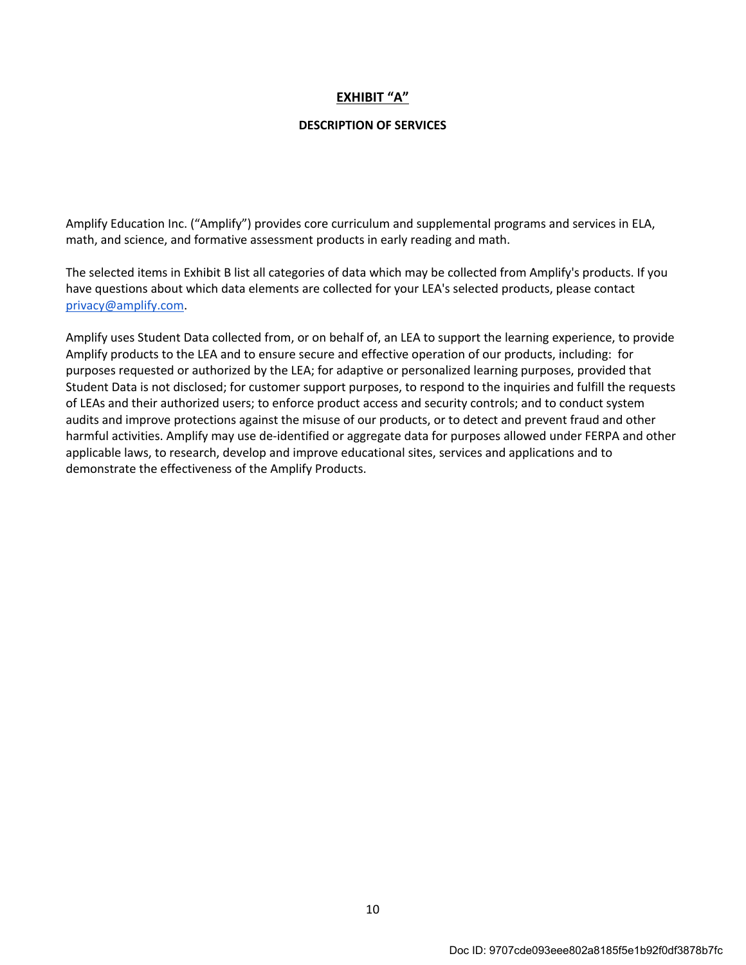## EXHIBIT "A"

#### DESCRIPTION OF SERVICES

Amplify Education Inc. ("Amplify") provides core curriculum and supplemental programs and services in ELA, math, and science, and formative assessment products in early reading and math.

The selected items in Exhibit B list all categories of data which may be collected from Amplify's products. If you have questions about which data elements are collected for your LEA's selected products, please contact privacy@amplify.com.

Amplify uses Student Data collected from, or on behalf of, an LEA to support the learning experience, to provide Amplify products to the LEA and to ensure secure and effective operation of our products, including: for purposes requested or authorized by the LEA; for adaptive or personalized learning purposes, provided that Student Data is not disclosed; for customer support purposes, to respond to the inquiries and fulfill the requests of LEAs and their authorized users; to enforce product access and security controls; and to conduct system audits and improve protections against the misuse of our products, or to detect and prevent fraud and other harmful activities. Amplify may use de-identified or aggregate data for purposes allowed under FERPA and other applicable laws, to research, develop and improve educational sites, services and applications and to demonstrate the effectiveness of the Amplify Products.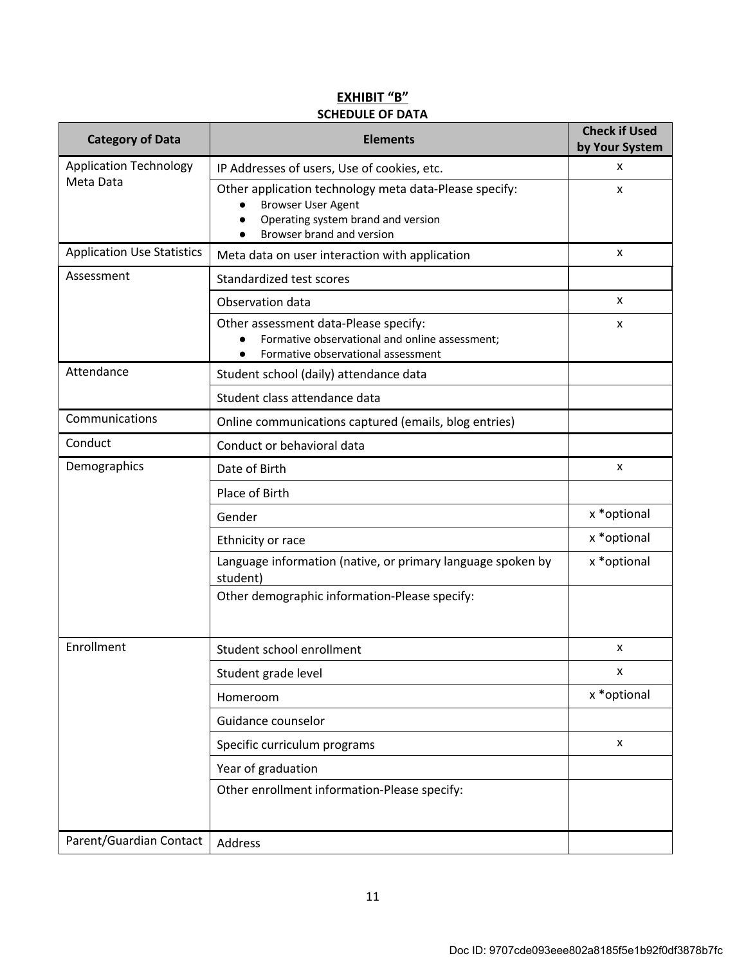| <b>Category of Data</b>           | <b>Elements</b>                                                                                                                                                     | <b>Check if Used</b><br>by Your System |
|-----------------------------------|---------------------------------------------------------------------------------------------------------------------------------------------------------------------|----------------------------------------|
| <b>Application Technology</b>     | IP Addresses of users, Use of cookies, etc.                                                                                                                         | x                                      |
| Meta Data                         | Other application technology meta data-Please specify:<br><b>Browser User Agent</b><br>$\bullet$<br>Operating system brand and version<br>Browser brand and version | x                                      |
| <b>Application Use Statistics</b> | Meta data on user interaction with application                                                                                                                      | x                                      |
| Assessment                        | Standardized test scores                                                                                                                                            |                                        |
|                                   | Observation data                                                                                                                                                    | x                                      |
|                                   | Other assessment data-Please specify:<br>Formative observational and online assessment;<br>Formative observational assessment                                       | x                                      |
| Attendance                        | Student school (daily) attendance data                                                                                                                              |                                        |
|                                   | Student class attendance data                                                                                                                                       |                                        |
| Communications                    | Online communications captured (emails, blog entries)                                                                                                               |                                        |
| Conduct                           | Conduct or behavioral data                                                                                                                                          |                                        |
| Demographics                      | Date of Birth                                                                                                                                                       | x                                      |
|                                   | Place of Birth                                                                                                                                                      |                                        |
|                                   | Gender                                                                                                                                                              | x * optional                           |
|                                   | Ethnicity or race                                                                                                                                                   | x * optional                           |
|                                   | Language information (native, or primary language spoken by<br>student)                                                                                             | x * optional                           |
|                                   | Other demographic information-Please specify:                                                                                                                       |                                        |
| Enrollment                        | Student school enrollment                                                                                                                                           | x                                      |
|                                   | Student grade level                                                                                                                                                 | X                                      |
|                                   | Homeroom                                                                                                                                                            | x * optional                           |
|                                   | Guidance counselor                                                                                                                                                  |                                        |
|                                   | Specific curriculum programs                                                                                                                                        | X                                      |
|                                   | Year of graduation                                                                                                                                                  |                                        |
|                                   | Other enrollment information-Please specify:                                                                                                                        |                                        |
| Parent/Guardian Contact           | Address                                                                                                                                                             |                                        |

# EXHIBIT "B" SCHEDULE OF DATA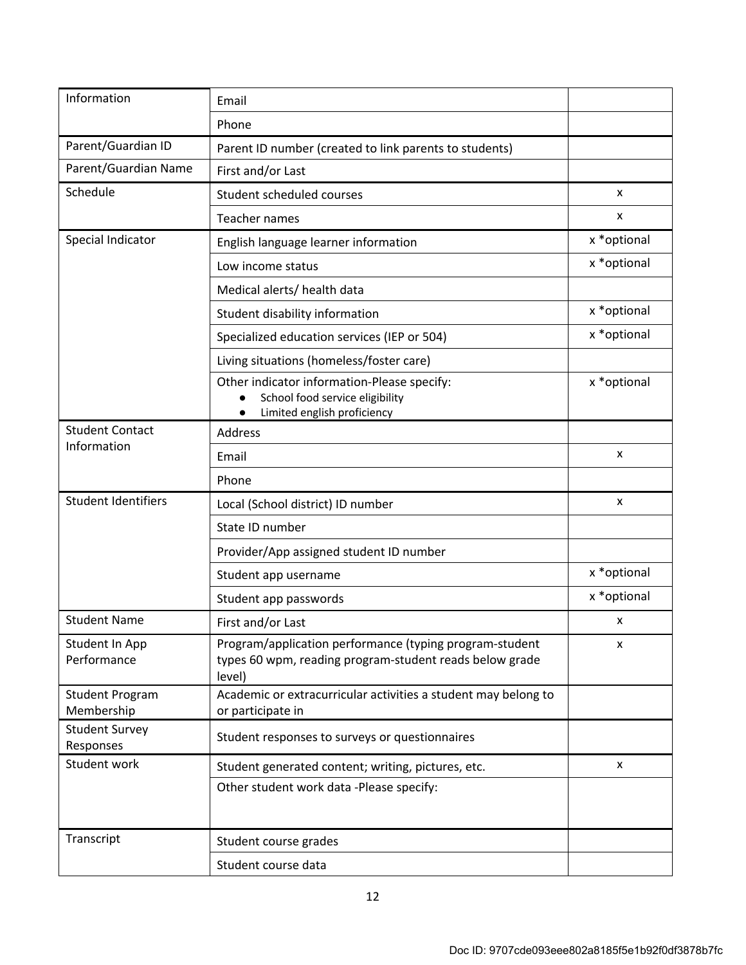| Information                          | Email                                                                                                                        |              |
|--------------------------------------|------------------------------------------------------------------------------------------------------------------------------|--------------|
|                                      | Phone                                                                                                                        |              |
| Parent/Guardian ID                   | Parent ID number (created to link parents to students)                                                                       |              |
| Parent/Guardian Name                 | First and/or Last                                                                                                            |              |
| Schedule                             | Student scheduled courses                                                                                                    | x            |
|                                      | Teacher names                                                                                                                | x            |
| Special Indicator                    | English language learner information                                                                                         | x * optional |
|                                      | Low income status                                                                                                            | x * optional |
|                                      | Medical alerts/ health data                                                                                                  |              |
|                                      | Student disability information                                                                                               | x * optional |
|                                      | Specialized education services (IEP or 504)                                                                                  | x * optional |
|                                      | Living situations (homeless/foster care)                                                                                     |              |
|                                      | Other indicator information-Please specify:<br>School food service eligibility<br>Limited english proficiency<br>$\bullet$   | x * optional |
| <b>Student Contact</b>               | <b>Address</b>                                                                                                               |              |
| Information                          | Email                                                                                                                        | x            |
|                                      | Phone                                                                                                                        |              |
| <b>Student Identifiers</b>           | Local (School district) ID number                                                                                            | x            |
|                                      | State ID number                                                                                                              |              |
|                                      | Provider/App assigned student ID number                                                                                      |              |
|                                      | Student app username                                                                                                         | x * optional |
|                                      | Student app passwords                                                                                                        | x * optional |
| <b>Student Name</b>                  | First and/or Last                                                                                                            | x            |
| Student In App<br>Performance        | Program/application performance (typing program-student<br>types 60 wpm, reading program-student reads below grade<br>level) | x            |
| <b>Student Program</b><br>Membership | Academic or extracurricular activities a student may belong to<br>or participate in                                          |              |
| <b>Student Survey</b><br>Responses   | Student responses to surveys or questionnaires                                                                               |              |
| Student work                         | Student generated content; writing, pictures, etc.                                                                           | x            |
|                                      | Other student work data -Please specify:                                                                                     |              |
| Transcript                           | Student course grades                                                                                                        |              |
|                                      | Student course data                                                                                                          |              |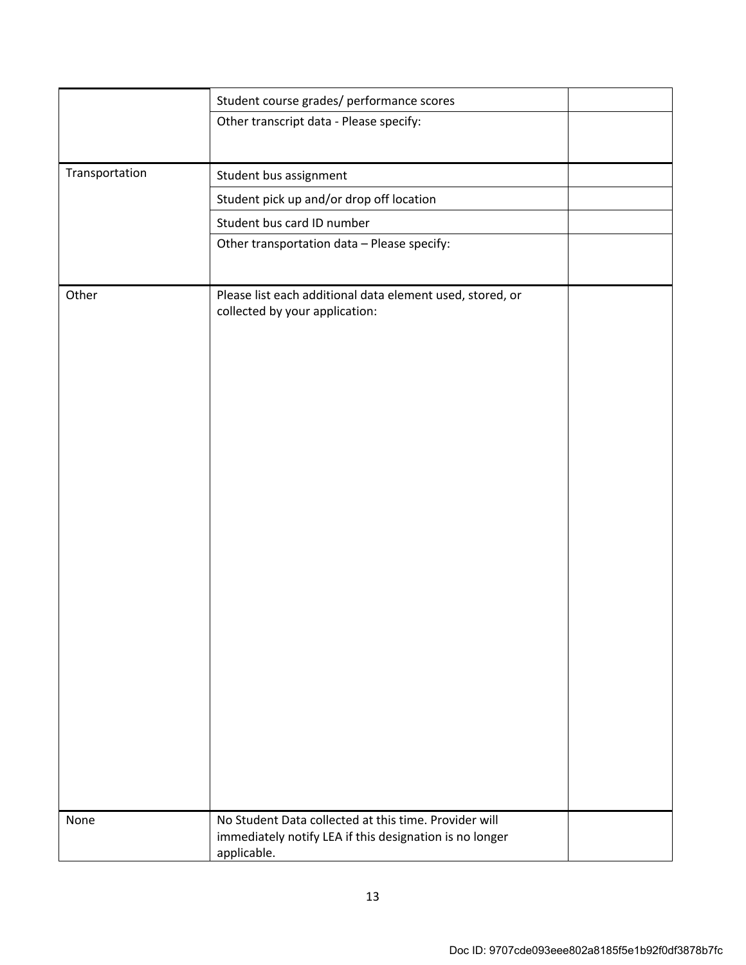|                | Student course grades/ performance scores                                                                                       |  |
|----------------|---------------------------------------------------------------------------------------------------------------------------------|--|
|                | Other transcript data - Please specify:                                                                                         |  |
|                |                                                                                                                                 |  |
| Transportation | Student bus assignment                                                                                                          |  |
|                | Student pick up and/or drop off location                                                                                        |  |
|                | Student bus card ID number                                                                                                      |  |
|                | Other transportation data - Please specify:                                                                                     |  |
|                |                                                                                                                                 |  |
| Other          | Please list each additional data element used, stored, or<br>collected by your application:                                     |  |
|                |                                                                                                                                 |  |
| None           | No Student Data collected at this time. Provider will<br>immediately notify LEA if this designation is no longer<br>applicable. |  |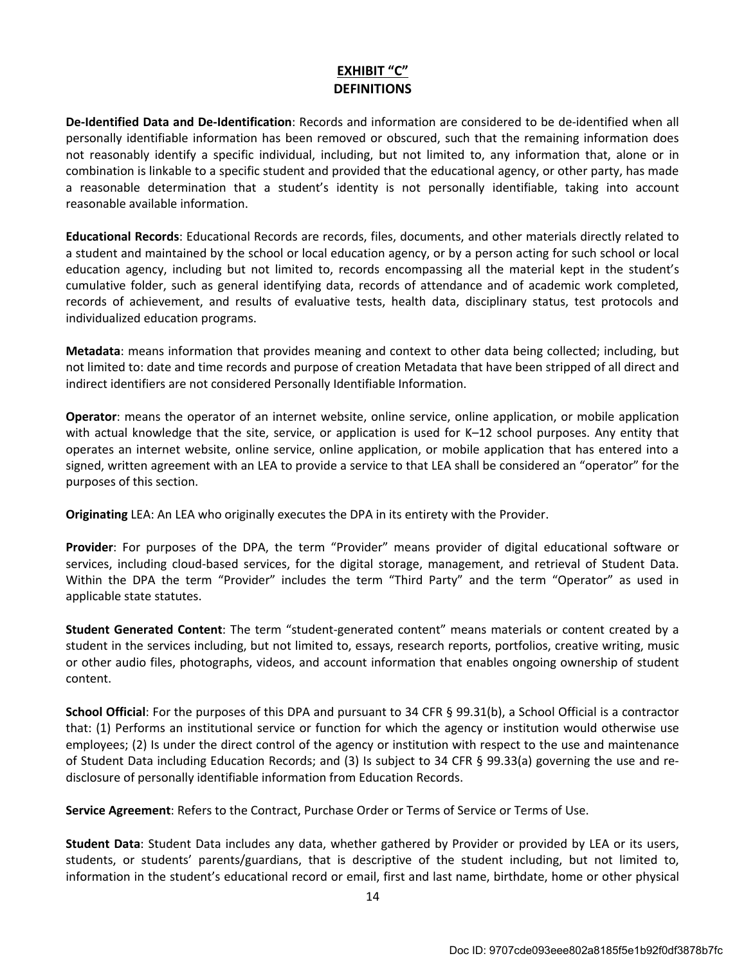# EXHIBIT "C" DEFINITIONS

De-Identified Data and De-Identification: Records and information are considered to be de-identified when all personally identifiable information has been removed or obscured, such that the remaining information does not reasonably identify a specific individual, including, but not limited to, any information that, alone or in combination is linkable to a specific student and provided that the educational agency, or other party, has made a reasonable determination that a student's identity is not personally identifiable, taking into account reasonable available information.

Educational Records: Educational Records are records, files, documents, and other materials directly related to a student and maintained by the school or local education agency, or by a person acting for such school or local education agency, including but not limited to, records encompassing all the material kept in the student's cumulative folder, such as general identifying data, records of attendance and of academic work completed, records of achievement, and results of evaluative tests, health data, disciplinary status, test protocols and individualized education programs.

Metadata: means information that provides meaning and context to other data being collected; including, but not limited to: date and time records and purpose of creation Metadata that have been stripped of all direct and indirect identifiers are not considered Personally Identifiable Information.

Operator: means the operator of an internet website, online service, online application, or mobile application with actual knowledge that the site, service, or application is used for K–12 school purposes. Any entity that operates an internet website, online service, online application, or mobile application that has entered into a signed, written agreement with an LEA to provide a service to that LEA shall be considered an "operator" for the purposes of this section.

Originating LEA: An LEA who originally executes the DPA in its entirety with the Provider.

Provider: For purposes of the DPA, the term "Provider" means provider of digital educational software or services, including cloud-based services, for the digital storage, management, and retrieval of Student Data. Within the DPA the term "Provider" includes the term "Third Party" and the term "Operator" as used in applicable state statutes.

Student Generated Content: The term "student-generated content" means materials or content created by a student in the services including, but not limited to, essays, research reports, portfolios, creative writing, music or other audio files, photographs, videos, and account information that enables ongoing ownership of student content.

School Official: For the purposes of this DPA and pursuant to 34 CFR § 99.31(b), a School Official is a contractor that: (1) Performs an institutional service or function for which the agency or institution would otherwise use employees; (2) Is under the direct control of the agency or institution with respect to the use and maintenance of Student Data including Education Records; and (3) Is subject to 34 CFR § 99.33(a) governing the use and redisclosure of personally identifiable information from Education Records.

Service Agreement: Refers to the Contract, Purchase Order or Terms of Service or Terms of Use.

Student Data: Student Data includes any data, whether gathered by Provider or provided by LEA or its users, students, or students' parents/guardians, that is descriptive of the student including, but not limited to, information in the student's educational record or email, first and last name, birthdate, home or other physical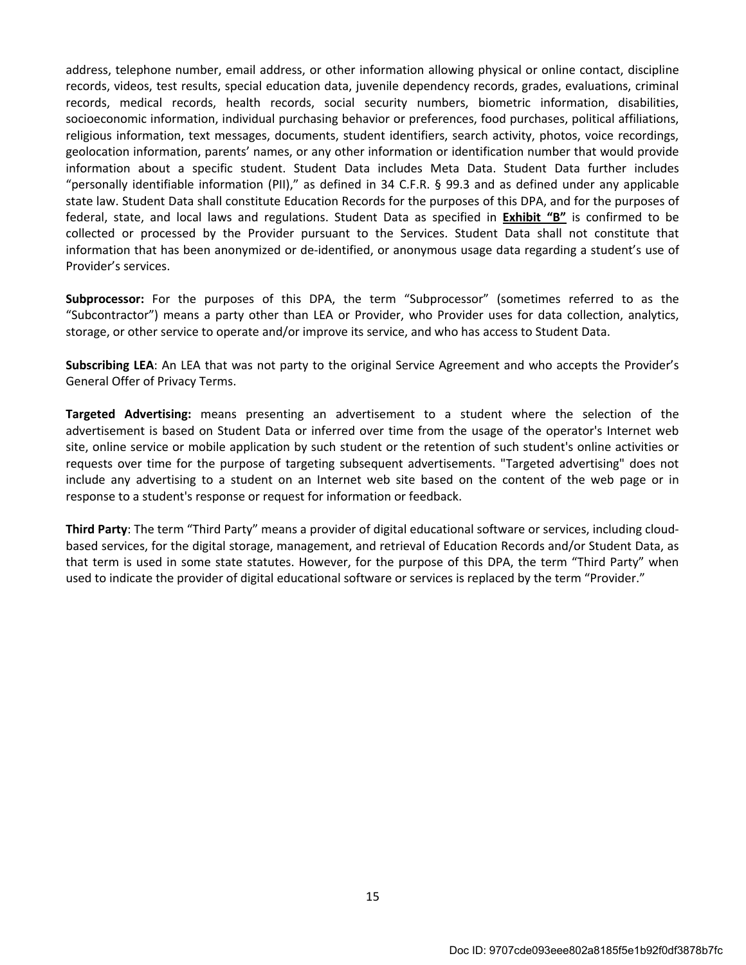address, telephone number, email address, or other information allowing physical or online contact, discipline records, videos, test results, special education data, juvenile dependency records, grades, evaluations, criminal records, medical records, health records, social security numbers, biometric information, disabilities, socioeconomic information, individual purchasing behavior or preferences, food purchases, political affiliations, religious information, text messages, documents, student identifiers, search activity, photos, voice recordings, geolocation information, parents' names, or any other information or identification number that would provide information about a specific student. Student Data includes Meta Data. Student Data further includes "personally identifiable information (PII)," as defined in 34 C.F.R. § 99.3 and as defined under any applicable state law. Student Data shall constitute Education Records for the purposes of this DPA, and for the purposes of federal, state, and local laws and regulations. Student Data as specified in Exhibit "B" is confirmed to be collected or processed by the Provider pursuant to the Services. Student Data shall not constitute that information that has been anonymized or de-identified, or anonymous usage data regarding a student's use of Provider's services.

Subprocessor: For the purposes of this DPA, the term "Subprocessor" (sometimes referred to as the "Subcontractor") means a party other than LEA or Provider, who Provider uses for data collection, analytics, storage, or other service to operate and/or improve its service, and who has access to Student Data.

Subscribing LEA: An LEA that was not party to the original Service Agreement and who accepts the Provider's General Offer of Privacy Terms.

Targeted Advertising: means presenting an advertisement to a student where the selection of the advertisement is based on Student Data or inferred over time from the usage of the operator's Internet web site, online service or mobile application by such student or the retention of such student's online activities or requests over time for the purpose of targeting subsequent advertisements. "Targeted advertising" does not include any advertising to a student on an Internet web site based on the content of the web page or in response to a student's response or request for information or feedback.

Third Party: The term "Third Party" means a provider of digital educational software or services, including cloudbased services, for the digital storage, management, and retrieval of Education Records and/or Student Data, as that term is used in some state statutes. However, for the purpose of this DPA, the term "Third Party" when used to indicate the provider of digital educational software or services is replaced by the term "Provider."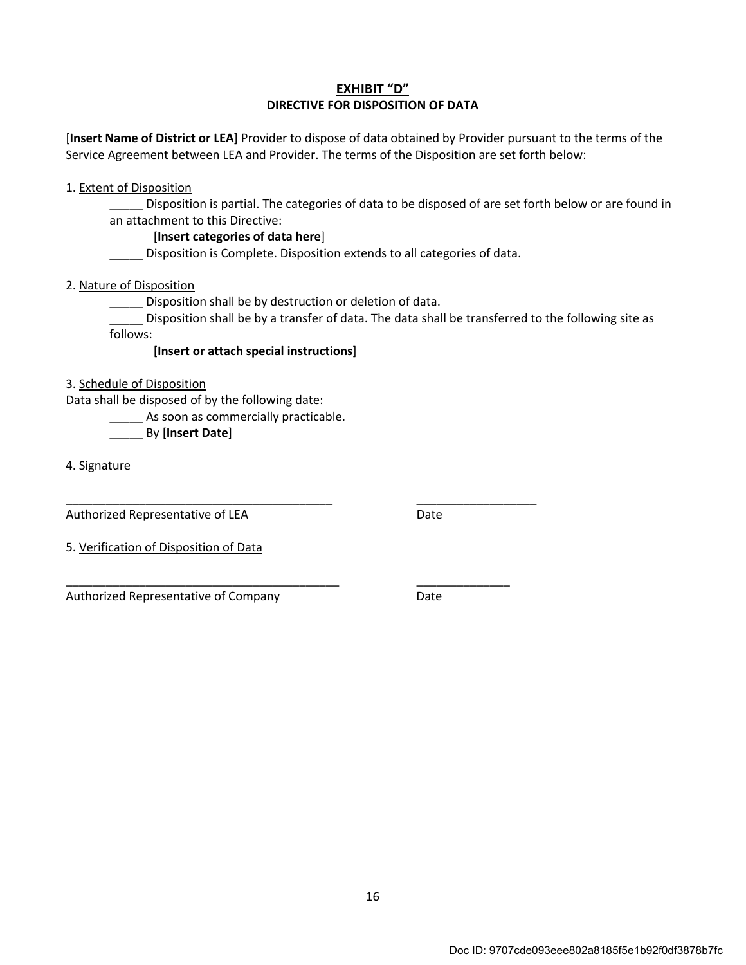#### EXHIBIT "D" DIRECTIVE FOR DISPOSITION OF DATA

[Insert Name of District or LEA] Provider to dispose of data obtained by Provider pursuant to the terms of the Service Agreement between LEA and Provider. The terms of the Disposition are set forth below:

1. Extent of Disposition

\_\_\_\_\_ Disposition is partial. The categories of data to be disposed of are set forth below or are found in an attachment to this Directive:

#### [Insert categories of data here]

\_\_\_\_\_ Disposition is Complete. Disposition extends to all categories of data.

2. Nature of Disposition

\_\_\_\_\_ Disposition shall be by destruction or deletion of data.

\_\_\_\_\_\_\_\_\_\_\_\_\_\_\_\_\_\_\_\_\_\_\_\_\_\_\_\_\_\_\_\_\_\_\_\_\_\_\_\_ \_\_\_\_\_\_\_\_\_\_\_\_\_\_\_\_\_\_

\_\_\_\_\_ Disposition shall be by a transfer of data. The data shall be transferred to the following site as follows:

[Insert or attach special instructions]

3. Schedule of Disposition

Data shall be disposed of by the following date:

**\_\_\_\_\_** As soon as commercially practicable.

By [Insert Date]

4. Signature

Authorized Representative of LEA Date

5. Verification of Disposition of Data

\_\_\_\_\_\_\_\_\_\_\_\_\_\_\_\_\_\_\_\_\_\_\_\_\_\_\_\_\_\_\_\_\_\_\_\_\_\_\_\_\_ \_\_\_\_\_\_\_\_\_\_\_\_\_\_ Authorized Representative of Company Theorem 2012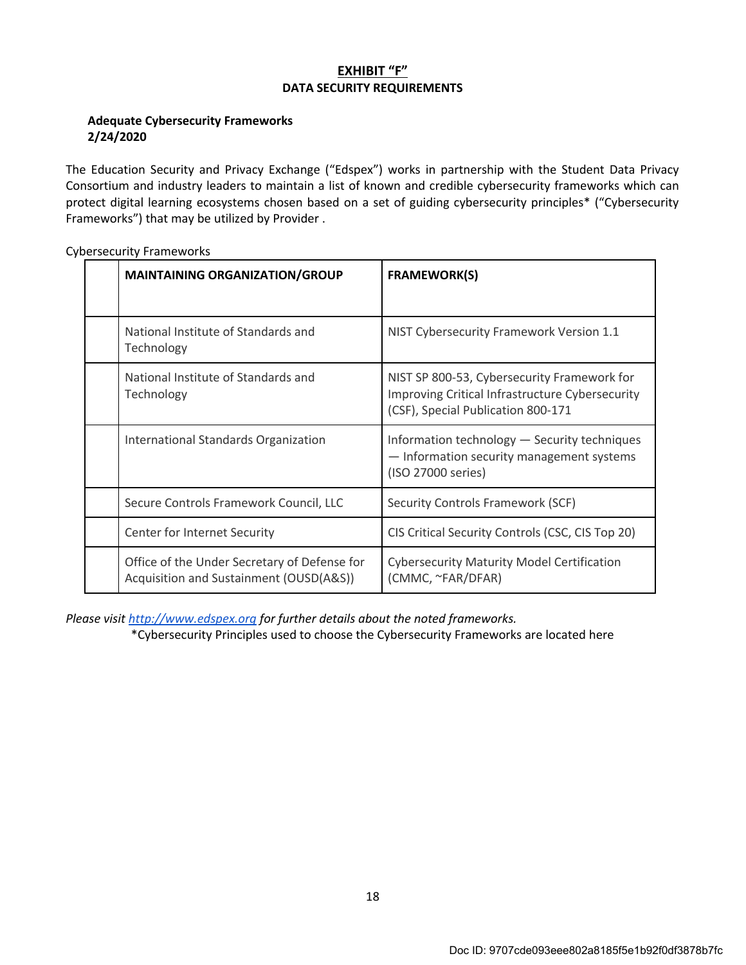## EXHIBIT "F" DATA SECURITY REQUIREMENTS

#### Adequate Cybersecurity Frameworks 2/24/2020

The Education Security and Privacy Exchange ("Edspex") works in partnership with the Student Data Privacy Consortium and industry leaders to maintain a list of known and credible cybersecurity frameworks which can protect digital learning ecosystems chosen based on a set of guiding cybersecurity principles\* ("Cybersecurity Frameworks") that may be utilized by Provider .

| <b>MAINTAINING ORGANIZATION/GROUP</b>                                                   | <b>FRAMEWORK(S)</b>                                                                                                                  |
|-----------------------------------------------------------------------------------------|--------------------------------------------------------------------------------------------------------------------------------------|
| National Institute of Standards and<br>Technology                                       | NIST Cybersecurity Framework Version 1.1                                                                                             |
| National Institute of Standards and<br>Technology                                       | NIST SP 800-53, Cybersecurity Framework for<br>Improving Critical Infrastructure Cybersecurity<br>(CSF), Special Publication 800-171 |
| <b>International Standards Organization</b>                                             | Information technology - Security techniques<br>- Information security management systems<br>(ISO 27000 series)                      |
| Secure Controls Framework Council, LLC                                                  | Security Controls Framework (SCF)                                                                                                    |
| Center for Internet Security                                                            | CIS Critical Security Controls (CSC, CIS Top 20)                                                                                     |
| Office of the Under Secretary of Defense for<br>Acquisition and Sustainment (OUSD(A&S)) | <b>Cybersecurity Maturity Model Certification</b><br>(CMMC, ~FAR/DFAR)                                                               |

Cybersecurity Frameworks

Please visit http://www.edspex.org for further details about the noted frameworks.

\*Cybersecurity Principles used to choose the Cybersecurity Frameworks are located here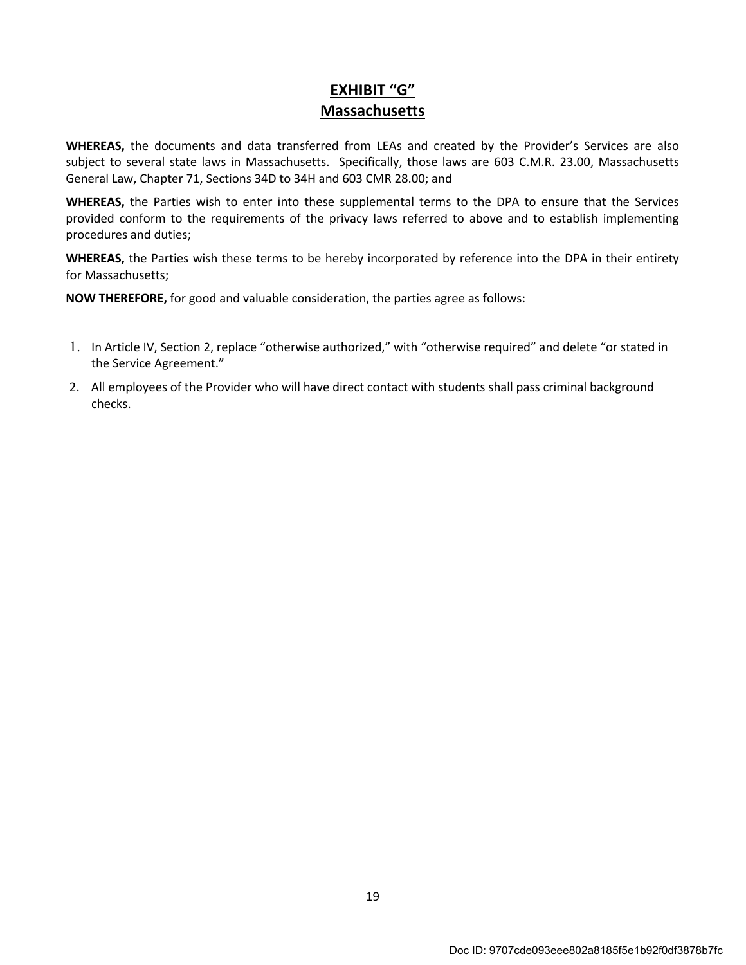# EXHIBIT "G" Massachusetts

WHEREAS, the documents and data transferred from LEAs and created by the Provider's Services are also subject to several state laws in Massachusetts. Specifically, those laws are 603 C.M.R. 23.00, Massachusetts General Law, Chapter 71, Sections 34D to 34H and 603 CMR 28.00; and

WHEREAS, the Parties wish to enter into these supplemental terms to the DPA to ensure that the Services provided conform to the requirements of the privacy laws referred to above and to establish implementing procedures and duties;

WHEREAS, the Parties wish these terms to be hereby incorporated by reference into the DPA in their entirety for Massachusetts;

NOW THEREFORE, for good and valuable consideration, the parties agree as follows:

- 1. In Article IV, Section 2, replace "otherwise authorized," with "otherwise required" and delete "or stated in the Service Agreement."
- 2. All employees of the Provider who will have direct contact with students shall pass criminal background checks.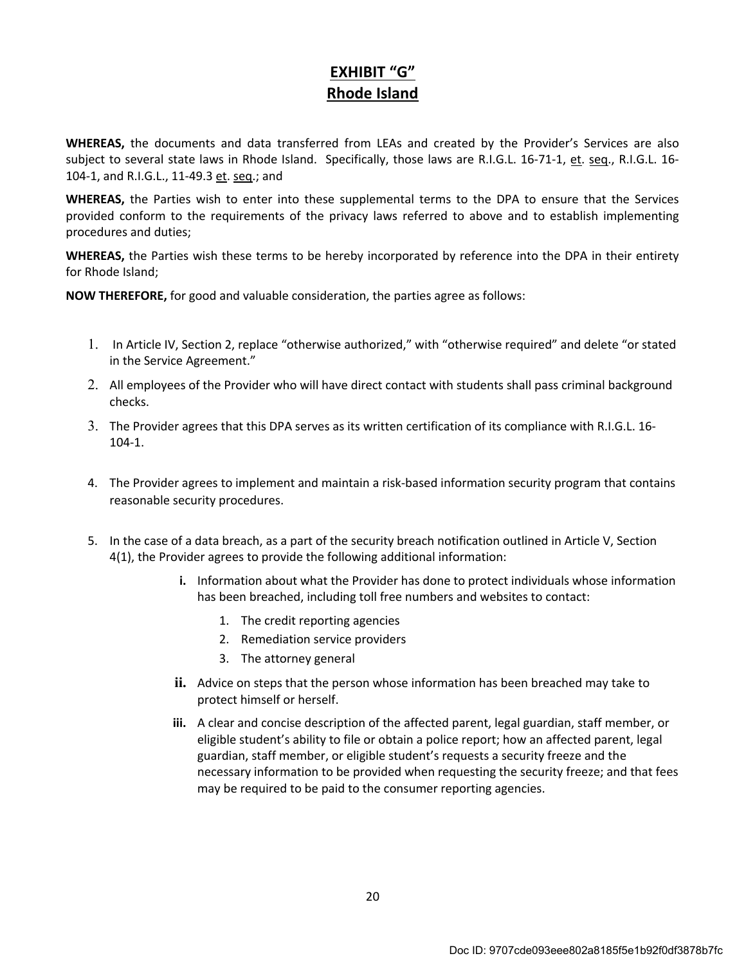# EXHIBIT "G" Rhode Island

WHEREAS, the documents and data transferred from LEAs and created by the Provider's Services are also subject to several state laws in Rhode Island. Specifically, those laws are R.I.G.L. 16-71-1, et. seq., R.I.G.L. 16- 104-1, and R.I.G.L., 11-49.3 et. seq.; and

WHEREAS, the Parties wish to enter into these supplemental terms to the DPA to ensure that the Services provided conform to the requirements of the privacy laws referred to above and to establish implementing procedures and duties;

WHEREAS, the Parties wish these terms to be hereby incorporated by reference into the DPA in their entirety for Rhode Island;

NOW THEREFORE, for good and valuable consideration, the parties agree as follows:

- 1. In Article IV, Section 2, replace "otherwise authorized," with "otherwise required" and delete "or stated in the Service Agreement."
- 2. All employees of the Provider who will have direct contact with students shall pass criminal background checks.
- 3. The Provider agrees that this DPA serves as its written certification of its compliance with R.I.G.L. 16- 104-1.
- 4. The Provider agrees to implement and maintain a risk-based information security program that contains reasonable security procedures.
- 5. In the case of a data breach, as a part of the security breach notification outlined in Article V, Section 4(1), the Provider agrees to provide the following additional information:
	- i. Information about what the Provider has done to protect individuals whose information has been breached, including toll free numbers and websites to contact:
		- 1. The credit reporting agencies
		- 2. Remediation service providers
		- 3. The attorney general
	- ii. Advice on steps that the person whose information has been breached may take to protect himself or herself.
	- iii. A clear and concise description of the affected parent, legal guardian, staff member, or eligible student's ability to file or obtain a police report; how an affected parent, legal guardian, staff member, or eligible student's requests a security freeze and the necessary information to be provided when requesting the security freeze; and that fees may be required to be paid to the consumer reporting agencies.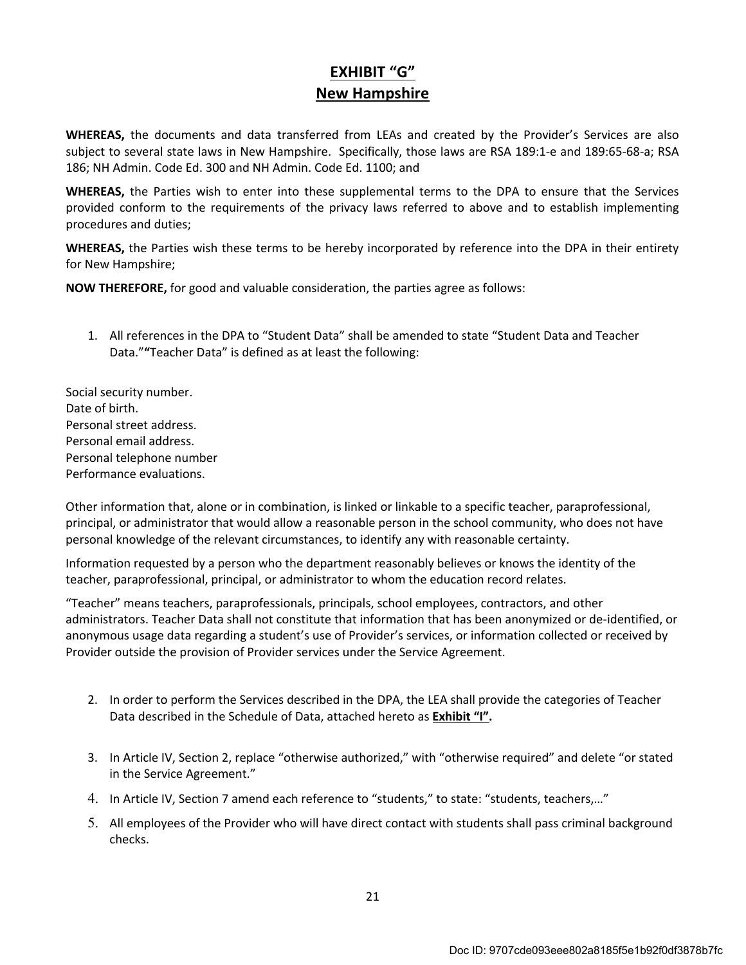# EXHIBIT "G" New Hampshire

WHEREAS, the documents and data transferred from LEAs and created by the Provider's Services are also subject to several state laws in New Hampshire. Specifically, those laws are RSA 189:1-e and 189:65-68-a; RSA 186; NH Admin. Code Ed. 300 and NH Admin. Code Ed. 1100; and

WHEREAS, the Parties wish to enter into these supplemental terms to the DPA to ensure that the Services provided conform to the requirements of the privacy laws referred to above and to establish implementing procedures and duties;

WHEREAS, the Parties wish these terms to be hereby incorporated by reference into the DPA in their entirety for New Hampshire;

NOW THEREFORE, for good and valuable consideration, the parties agree as follows:

1. All references in the DPA to "Student Data" shall be amended to state "Student Data and Teacher Data.""Teacher Data" is defined as at least the following:

Social security number. Date of birth. Personal street address. Personal email address. Personal telephone number Performance evaluations.

Other information that, alone or in combination, is linked or linkable to a specific teacher, paraprofessional, principal, or administrator that would allow a reasonable person in the school community, who does not have personal knowledge of the relevant circumstances, to identify any with reasonable certainty.

Information requested by a person who the department reasonably believes or knows the identity of the teacher, paraprofessional, principal, or administrator to whom the education record relates.

"Teacher" means teachers, paraprofessionals, principals, school employees, contractors, and other administrators. Teacher Data shall not constitute that information that has been anonymized or de-identified, or anonymous usage data regarding a student's use of Provider's services, or information collected or received by Provider outside the provision of Provider services under the Service Agreement.

- 2. In order to perform the Services described in the DPA, the LEA shall provide the categories of Teacher Data described in the Schedule of Data, attached hereto as Exhibit "I".
- 3. In Article IV, Section 2, replace "otherwise authorized," with "otherwise required" and delete "or stated in the Service Agreement."
- 4. In Article IV, Section 7 amend each reference to "students," to state: "students, teachers,…"
- 5. All employees of the Provider who will have direct contact with students shall pass criminal background checks.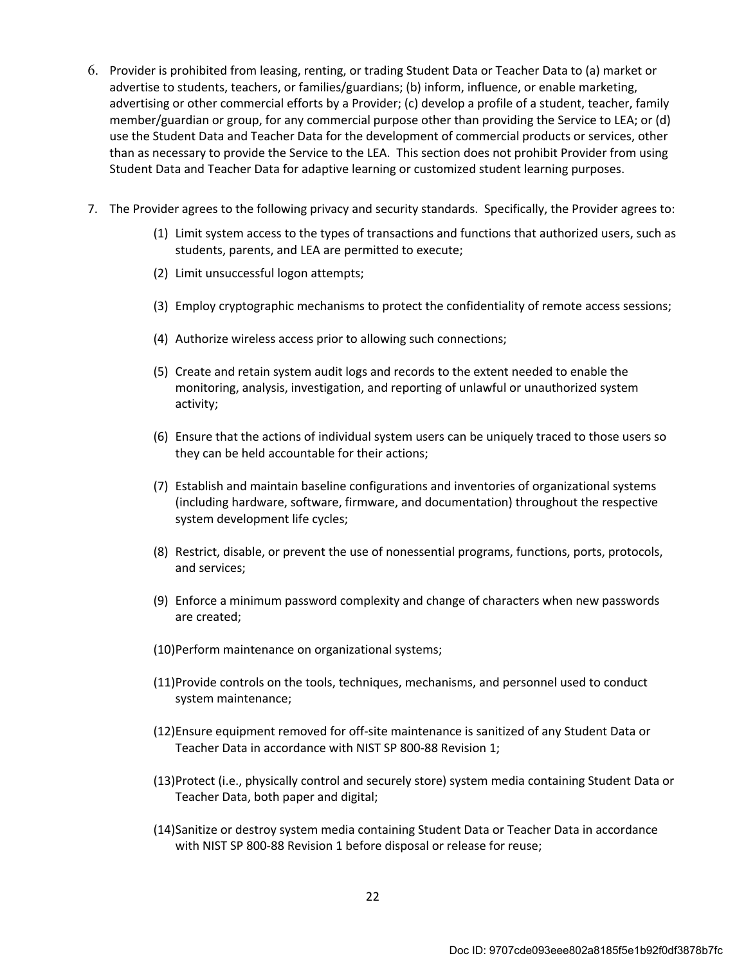- 6. Provider is prohibited from leasing, renting, or trading Student Data or Teacher Data to (a) market or advertise to students, teachers, or families/guardians; (b) inform, influence, or enable marketing, advertising or other commercial efforts by a Provider; (c) develop a profile of a student, teacher, family member/guardian or group, for any commercial purpose other than providing the Service to LEA; or (d) use the Student Data and Teacher Data for the development of commercial products or services, other than as necessary to provide the Service to the LEA. This section does not prohibit Provider from using Student Data and Teacher Data for adaptive learning or customized student learning purposes.
- 7. The Provider agrees to the following privacy and security standards. Specifically, the Provider agrees to:
	- (1) Limit system access to the types of transactions and functions that authorized users, such as students, parents, and LEA are permitted to execute;
	- (2) Limit unsuccessful logon attempts;
	- (3) Employ cryptographic mechanisms to protect the confidentiality of remote access sessions;
	- (4) Authorize wireless access prior to allowing such connections;
	- (5) Create and retain system audit logs and records to the extent needed to enable the monitoring, analysis, investigation, and reporting of unlawful or unauthorized system activity;
	- (6) Ensure that the actions of individual system users can be uniquely traced to those users so they can be held accountable for their actions;
	- (7) Establish and maintain baseline configurations and inventories of organizational systems (including hardware, software, firmware, and documentation) throughout the respective system development life cycles;
	- (8) Restrict, disable, or prevent the use of nonessential programs, functions, ports, protocols, and services;
	- (9) Enforce a minimum password complexity and change of characters when new passwords are created;
	- (10)Perform maintenance on organizational systems;
	- (11)Provide controls on the tools, techniques, mechanisms, and personnel used to conduct system maintenance;
	- (12)Ensure equipment removed for off-site maintenance is sanitized of any Student Data or Teacher Data in accordance with NIST SP 800-88 Revision 1;
	- (13)Protect (i.e., physically control and securely store) system media containing Student Data or Teacher Data, both paper and digital;
	- (14)Sanitize or destroy system media containing Student Data or Teacher Data in accordance with NIST SP 800-88 Revision 1 before disposal or release for reuse;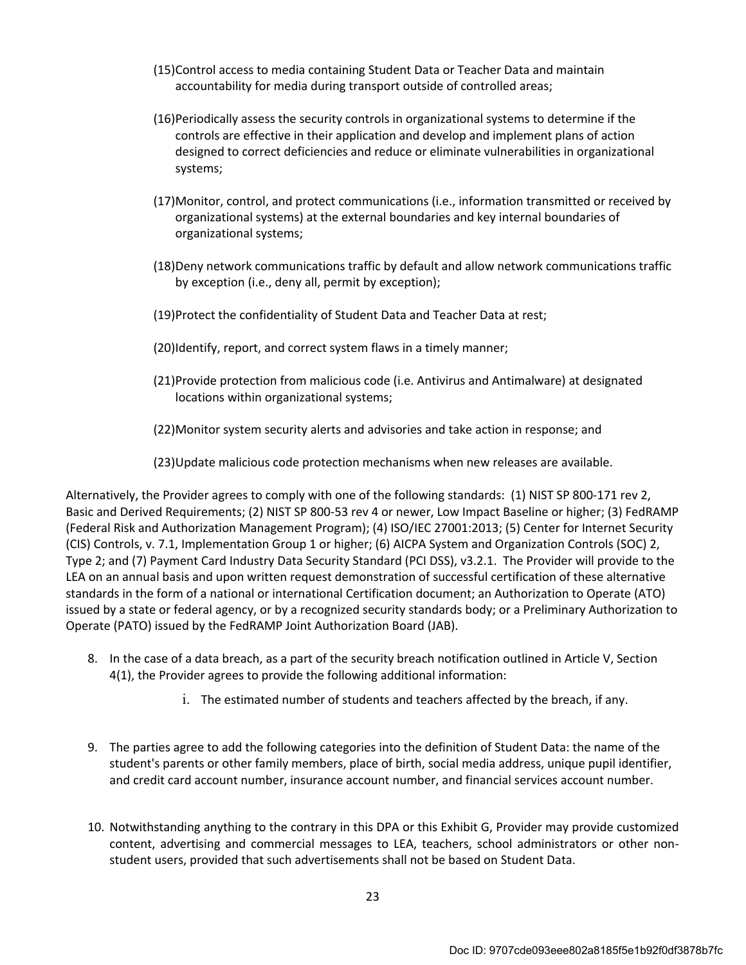- (15)Control access to media containing Student Data or Teacher Data and maintain accountability for media during transport outside of controlled areas;
- (16)Periodically assess the security controls in organizational systems to determine if the controls are effective in their application and develop and implement plans of action designed to correct deficiencies and reduce or eliminate vulnerabilities in organizational systems;
- (17)Monitor, control, and protect communications (i.e., information transmitted or received by organizational systems) at the external boundaries and key internal boundaries of organizational systems;
- (18)Deny network communications traffic by default and allow network communications traffic by exception (i.e., deny all, permit by exception);
- (19)Protect the confidentiality of Student Data and Teacher Data at rest;
- (20)Identify, report, and correct system flaws in a timely manner;
- (21)Provide protection from malicious code (i.e. Antivirus and Antimalware) at designated locations within organizational systems;
- (22)Monitor system security alerts and advisories and take action in response; and
- (23)Update malicious code protection mechanisms when new releases are available.

Alternatively, the Provider agrees to comply with one of the following standards: (1) NIST SP 800-171 rev 2, Basic and Derived Requirements; (2) NIST SP 800-53 rev 4 or newer, Low Impact Baseline or higher; (3) FedRAMP (Federal Risk and Authorization Management Program); (4) ISO/IEC 27001:2013; (5) Center for Internet Security (CIS) Controls, v. 7.1, Implementation Group 1 or higher; (6) AICPA System and Organization Controls (SOC) 2, Type 2; and (7) Payment Card Industry Data Security Standard (PCI DSS), v3.2.1. The Provider will provide to the LEA on an annual basis and upon written request demonstration of successful certification of these alternative standards in the form of a national or international Certification document; an Authorization to Operate (ATO) issued by a state or federal agency, or by a recognized security standards body; or a Preliminary Authorization to Operate (PATO) issued by the FedRAMP Joint Authorization Board (JAB).

- 8. In the case of a data breach, as a part of the security breach notification outlined in Article V, Section 4(1), the Provider agrees to provide the following additional information:
	- i. The estimated number of students and teachers affected by the breach, if any.
- 9. The parties agree to add the following categories into the definition of Student Data: the name of the student's parents or other family members, place of birth, social media address, unique pupil identifier, and credit card account number, insurance account number, and financial services account number.
- 10. Notwithstanding anything to the contrary in this DPA or this Exhibit G, Provider may provide customized content, advertising and commercial messages to LEA, teachers, school administrators or other nonstudent users, provided that such advertisements shall not be based on Student Data.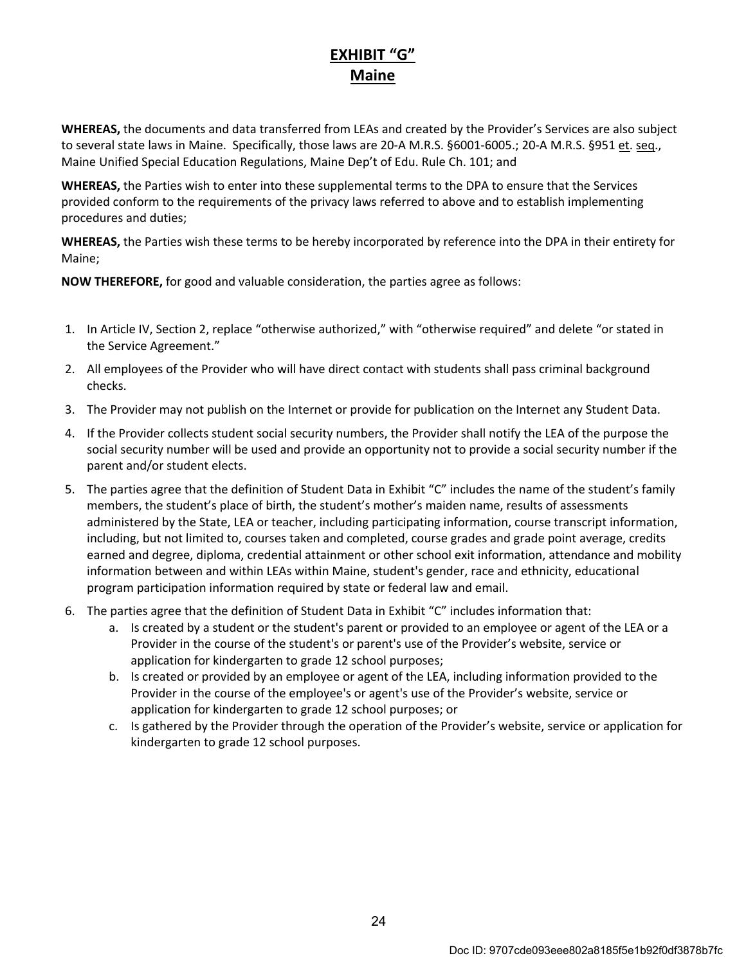# EXHIBIT "G" Maine

WHEREAS, the documents and data transferred from LEAs and created by the Provider's Services are also subject to several state laws in Maine. Specifically, those laws are 20-A M.R.S. §6001-6005.; 20-A M.R.S. §951 et. seq., Maine Unified Special Education Regulations, Maine Dep't of Edu. Rule Ch. 101; and

WHEREAS, the Parties wish to enter into these supplemental terms to the DPA to ensure that the Services provided conform to the requirements of the privacy laws referred to above and to establish implementing procedures and duties;

WHEREAS, the Parties wish these terms to be hereby incorporated by reference into the DPA in their entirety for Maine;

NOW THEREFORE, for good and valuable consideration, the parties agree as follows:

- 1. In Article IV, Section 2, replace "otherwise authorized," with "otherwise required" and delete "or stated in the Service Agreement."
- 2. All employees of the Provider who will have direct contact with students shall pass criminal background checks.
- 3. The Provider may not publish on the Internet or provide for publication on the Internet any Student Data.
- 4. If the Provider collects student social security numbers, the Provider shall notify the LEA of the purpose the social security number will be used and provide an opportunity not to provide a social security number if the parent and/or student elects.
- 5. The parties agree that the definition of Student Data in Exhibit "C" includes the name of the student's family members, the student's place of birth, the student's mother's maiden name, results of assessments administered by the State, LEA or teacher, including participating information, course transcript information, including, but not limited to, courses taken and completed, course grades and grade point average, credits earned and degree, diploma, credential attainment or other school exit information, attendance and mobility information between and within LEAs within Maine, student's gender, race and ethnicity, educational program participation information required by state or federal law and email.
- 6. The parties agree that the definition of Student Data in Exhibit "C" includes information that:
	- a. Is created by a student or the student's parent or provided to an employee or agent of the LEA or a Provider in the course of the student's or parent's use of the Provider's website, service or application for kindergarten to grade 12 school purposes;
	- b. Is created or provided by an employee or agent of the LEA, including information provided to the Provider in the course of the employee's or agent's use of the Provider's website, service or application for kindergarten to grade 12 school purposes; or
	- c. Is gathered by the Provider through the operation of the Provider's website, service or application for kindergarten to grade 12 school purposes.